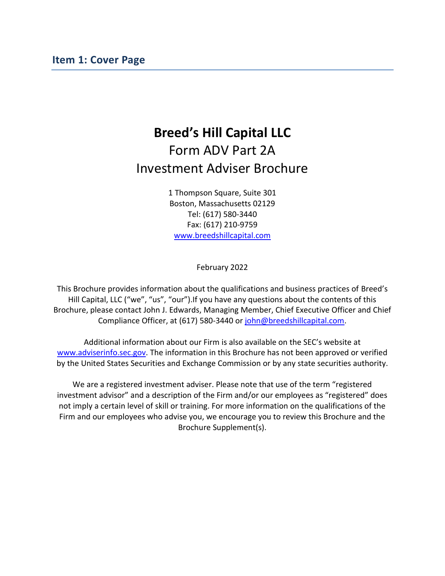# <span id="page-0-0"></span>**Breed's Hill Capital LLC** Form ADV Part 2A Investment Adviser Brochure

1 Thompson Square, Suite 301 Boston, Massachusetts 02129 Tel: (617) 580-3440 Fax: (617) 210-9759 [www.breedshillcapital.com](http://www.breedshillcapital.com/)

February 2022

This Brochure provides information about the qualifications and business practices of Breed's Hill Capital, LLC ("we", "us", "our").If you have any questions about the contents of this Brochure, please contact John J. Edwards, Managing Member, Chief Executive Officer and Chief Compliance Officer, at (617) 580-3440 or [john@breedshillcapital.com.](mailto:john@breedshillcapital.com)

Additional information about our Firm is also available on the SEC's website at [www.adviserinfo.sec.gov.](https://adviserinfo.sec.gov/Firm/169314) The information in this Brochure has not been approved or verified by the United States Securities and Exchange Commission or by any state securities authority.

We are a registered investment adviser. Please note that use of the term "registered investment advisor" and a description of the Firm and/or our employees as "registered" does not imply a certain level of skill or training. For more information on the qualifications of the Firm and our employees who advise you, we encourage you to review this Brochure and the Brochure Supplement(s).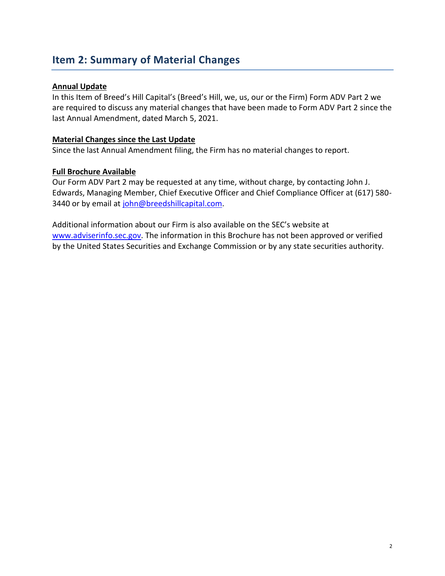## <span id="page-1-0"></span>**Item 2: Summary of Material Changes**

### **Annual Update**

In this Item of Breed's Hill Capital's (Breed's Hill, we, us, our or the Firm) Form ADV Part 2 we are required to discuss any material changes that have been made to Form ADV Part 2 since the last Annual Amendment, dated March 5, 2021.

#### **Material Changes since the Last Update**

Since the last Annual Amendment filing, the Firm has no material changes to report.

### **Full Brochure Available**

Our Form ADV Part 2 may be requested at any time, without charge, by contacting John J. Edwards, Managing Member, Chief Executive Officer and Chief Compliance Officer at (617) 580 3440 or by email at [john@breedshillcapital.com.](mailto:john@breedshillcapital.com)

Additional information about our Firm is also available on the SEC's website at [www.adviserinfo.sec.gov.](https://adviserinfo.sec.gov/Firm/169314) The information in this Brochure has not been approved or verified by the United States Securities and Exchange Commission or by any state securities authority.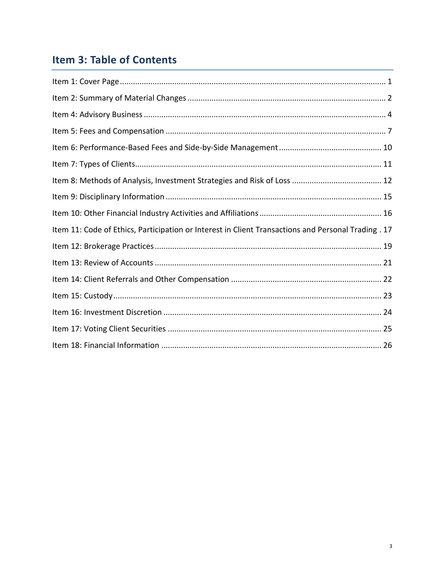# Item 3: Table of Contents

| Item 11: Code of Ethics, Participation or Interest in Client Transactions and Personal Trading . 17 |  |
|-----------------------------------------------------------------------------------------------------|--|
|                                                                                                     |  |
|                                                                                                     |  |
|                                                                                                     |  |
|                                                                                                     |  |
|                                                                                                     |  |
|                                                                                                     |  |
|                                                                                                     |  |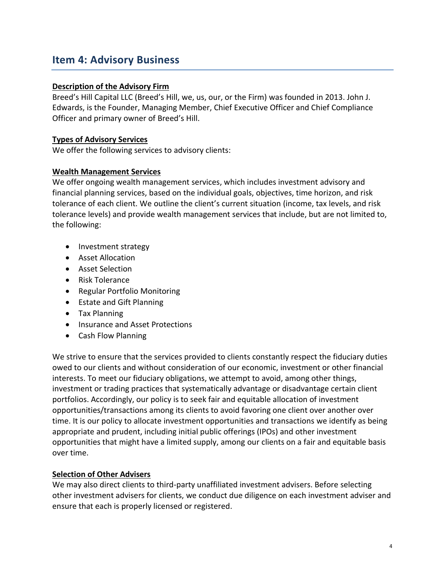## <span id="page-3-0"></span>**Item 4: Advisory Business**

### **Description of the Advisory Firm**

Breed's Hill Capital LLC (Breed's Hill, we, us, our, or the Firm) was founded in 2013. John J. Edwards, is the Founder, Managing Member, Chief Executive Officer and Chief Compliance Officer and primary owner of Breed's Hill.

### **Types of Advisory Services**

We offer the following services to advisory clients:

#### **Wealth Management Services**

We offer ongoing wealth management services, which includes investment advisory and financial planning services, based on the individual goals, objectives, time horizon, and risk tolerance of each client. We outline the client's current situation (income, tax levels, and risk tolerance levels) and provide wealth management services that include, but are not limited to, the following:

- Investment strategy
- Asset Allocation
- Asset Selection
- Risk Tolerance
- Regular Portfolio Monitoring
- Estate and Gift Planning
- Tax Planning
- Insurance and Asset Protections
- Cash Flow Planning

We strive to ensure that the services provided to clients constantly respect the fiduciary duties owed to our clients and without consideration of our economic, investment or other financial interests. To meet our fiduciary obligations, we attempt to avoid, among other things, investment or trading practices that systematically advantage or disadvantage certain client portfolios. Accordingly, our policy is to seek fair and equitable allocation of investment opportunities/transactions among its clients to avoid favoring one client over another over time. It is our policy to allocate investment opportunities and transactions we identify as being appropriate and prudent, including initial public offerings (IPOs) and other investment opportunities that might have a limited supply, among our clients on a fair and equitable basis over time.

#### **Selection of Other Advisers**

We may also direct clients to third-party unaffiliated investment advisers. Before selecting other investment advisers for clients, we conduct due diligence on each investment adviser and ensure that each is properly licensed or registered.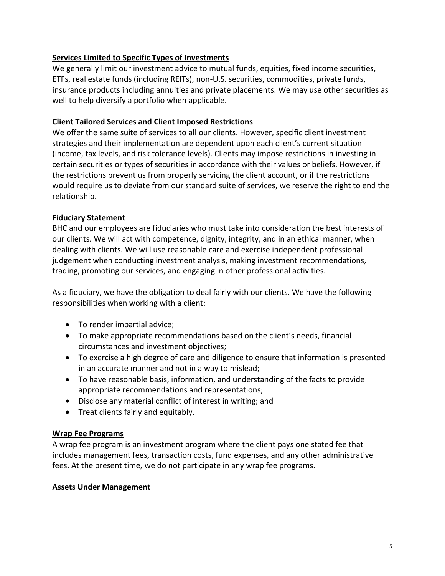## **Services Limited to Specific Types of Investments**

We generally limit our investment advice to mutual funds, equities, fixed income securities, ETFs, real estate funds (including REITs), non-U.S. securities, commodities, private funds, insurance products including annuities and private placements. We may use other securities as well to help diversify a portfolio when applicable.

## **Client Tailored Services and Client Imposed Restrictions**

We offer the same suite of services to all our clients. However, specific client investment strategies and their implementation are dependent upon each client's current situation (income, tax levels, and risk tolerance levels). Clients may impose restrictions in investing in certain securities or types of securities in accordance with their values or beliefs. However, if the restrictions prevent us from properly servicing the client account, or if the restrictions would require us to deviate from our standard suite of services, we reserve the right to end the relationship.

## **Fiduciary Statement**

BHC and our employees are fiduciaries who must take into consideration the best interests of our clients. We will act with competence, dignity, integrity, and in an ethical manner, when dealing with clients. We will use reasonable care and exercise independent professional judgement when conducting investment analysis, making investment recommendations, trading, promoting our services, and engaging in other professional activities.

As a fiduciary, we have the obligation to deal fairly with our clients. We have the following responsibilities when working with a client:

- To render impartial advice;
- To make appropriate recommendations based on the client's needs, financial circumstances and investment objectives;
- To exercise a high degree of care and diligence to ensure that information is presented in an accurate manner and not in a way to mislead;
- To have reasonable basis, information, and understanding of the facts to provide appropriate recommendations and representations;
- Disclose any material conflict of interest in writing; and
- Treat clients fairly and equitably.

## **Wrap Fee Programs**

A wrap fee program is an investment program where the client pays one stated fee that includes management fees, transaction costs, fund expenses, and any other administrative fees. At the present time, we do not participate in any wrap fee programs.

## **Assets Under Management**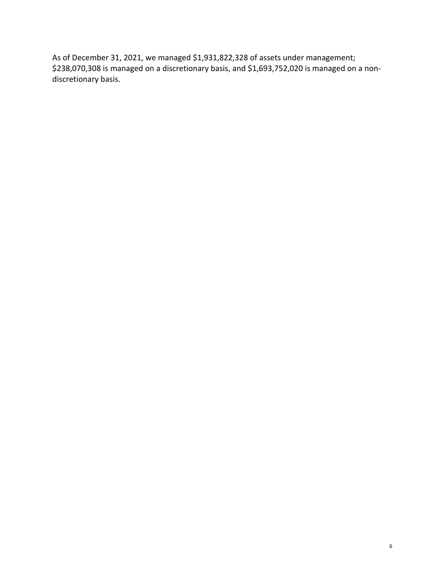As of December 31, 2021, we managed \$1,931,822,328 of assets under management; \$238,070,308 is managed on a discretionary basis, and \$1,693,752,020 is managed on a nondiscretionary basis.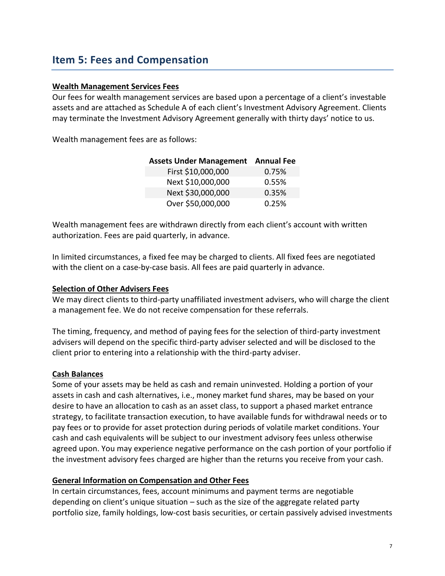## <span id="page-6-0"></span>**Item 5: Fees and Compensation**

### **Wealth Management Services Fees**

Our fees for wealth management services are based upon a percentage of a client's investable assets and are attached as Schedule A of each client's Investment Advisory Agreement. Clients may terminate the Investment Advisory Agreement generally with thirty days' notice to us.

Wealth management fees are as follows:

| <b>Assets Under Management Annual Fee</b> |       |
|-------------------------------------------|-------|
| First \$10,000,000                        | 0.75% |
| Next \$10,000,000                         | 0.55% |
| Next \$30,000,000                         | 0.35% |
| Over \$50,000,000                         | 0.25% |

Wealth management fees are withdrawn directly from each client's account with written authorization. Fees are paid quarterly, in advance.

In limited circumstances, a fixed fee may be charged to clients. All fixed fees are negotiated with the client on a case-by-case basis. All fees are paid quarterly in advance.

#### **Selection of Other Advisers Fees**

We may direct clients to third-party unaffiliated investment advisers, who will charge the client a management fee. We do not receive compensation for these referrals.

The timing, frequency, and method of paying fees for the selection of third-party investment advisers will depend on the specific third-party adviser selected and will be disclosed to the client prior to entering into a relationship with the third-party adviser.

## **Cash Balances**

Some of your assets may be held as cash and remain uninvested. Holding a portion of your assets in cash and cash alternatives, i.e., money market fund shares, may be based on your desire to have an allocation to cash as an asset class, to support a phased market entrance strategy, to facilitate transaction execution, to have available funds for withdrawal needs or to pay fees or to provide for asset protection during periods of volatile market conditions. Your cash and cash equivalents will be subject to our investment advisory fees unless otherwise agreed upon. You may experience negative performance on the cash portion of your portfolio if the investment advisory fees charged are higher than the returns you receive from your cash.

## **General Information on Compensation and Other Fees**

In certain circumstances, fees, account minimums and payment terms are negotiable depending on client's unique situation – such as the size of the aggregate related party portfolio size, family holdings, low-cost basis securities, or certain passively advised investments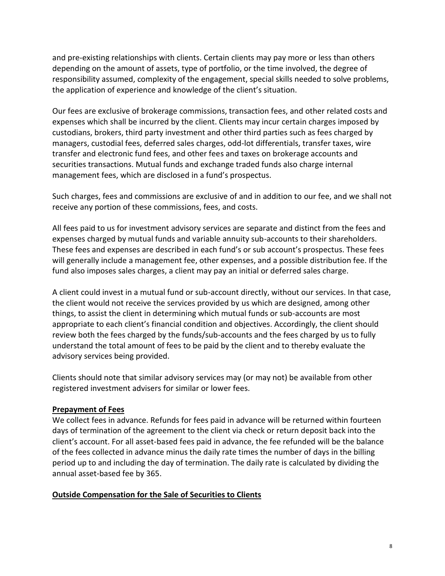and pre-existing relationships with clients. Certain clients may pay more or less than others depending on the amount of assets, type of portfolio, or the time involved, the degree of responsibility assumed, complexity of the engagement, special skills needed to solve problems, the application of experience and knowledge of the client's situation.

Our fees are exclusive of brokerage commissions, transaction fees, and other related costs and expenses which shall be incurred by the client. Clients may incur certain charges imposed by custodians, brokers, third party investment and other third parties such as fees charged by managers, custodial fees, deferred sales charges, odd-lot differentials, transfer taxes, wire transfer and electronic fund fees, and other fees and taxes on brokerage accounts and securities transactions. Mutual funds and exchange traded funds also charge internal management fees, which are disclosed in a fund's prospectus.

Such charges, fees and commissions are exclusive of and in addition to our fee, and we shall not receive any portion of these commissions, fees, and costs.

All fees paid to us for investment advisory services are separate and distinct from the fees and expenses charged by mutual funds and variable annuity sub-accounts to their shareholders. These fees and expenses are described in each fund's or sub account's prospectus. These fees will generally include a management fee, other expenses, and a possible distribution fee. If the fund also imposes sales charges, a client may pay an initial or deferred sales charge.

A client could invest in a mutual fund or sub-account directly, without our services. In that case, the client would not receive the services provided by us which are designed, among other things, to assist the client in determining which mutual funds or sub-accounts are most appropriate to each client's financial condition and objectives. Accordingly, the client should review both the fees charged by the funds/sub-accounts and the fees charged by us to fully understand the total amount of fees to be paid by the client and to thereby evaluate the advisory services being provided.

Clients should note that similar advisory services may (or may not) be available from other registered investment advisers for similar or lower fees.

## **Prepayment of Fees**

We collect fees in advance. Refunds for fees paid in advance will be returned within fourteen days of termination of the agreement to the client via check or return deposit back into the client's account. For all asset-based fees paid in advance, the fee refunded will be the balance of the fees collected in advance minus the daily rate times the number of days in the billing period up to and including the day of termination. The daily rate is calculated by dividing the annual asset-based fee by 365.

#### **Outside Compensation for the Sale of Securities to Clients**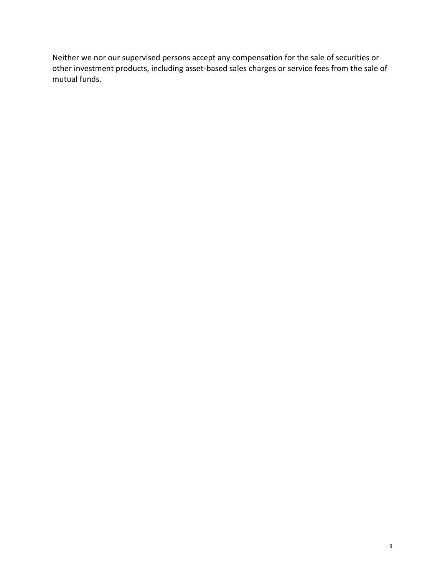Neither we nor our supervised persons accept any compensation for the sale of securities or other investment products, including asset-based sales charges or service fees from the sale of mutual funds.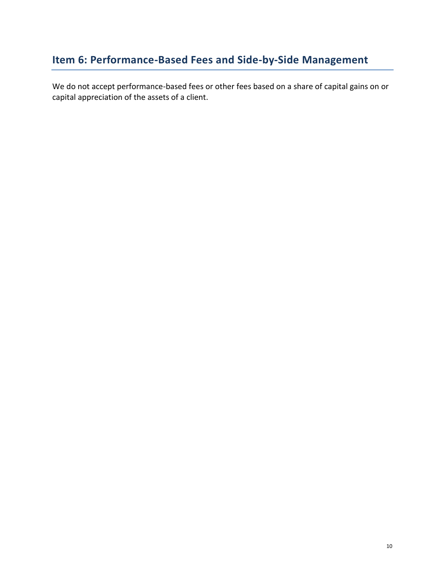## <span id="page-9-0"></span>**Item 6: Performance-Based Fees and Side-by-Side Management**

We do not accept performance-based fees or other fees based on a share of capital gains on or capital appreciation of the assets of a client.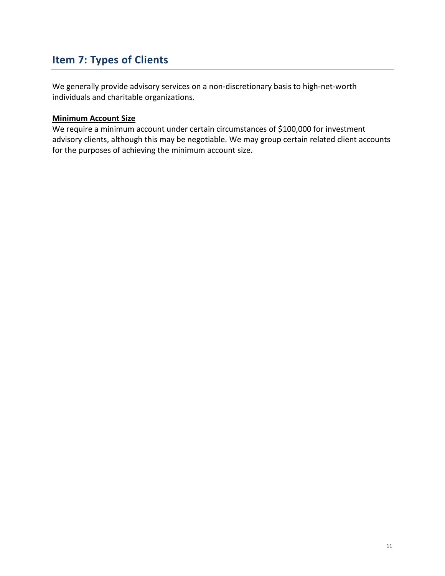## <span id="page-10-0"></span>**Item 7: Types of Clients**

We generally provide advisory services on a non-discretionary basis to high-net-worth individuals and charitable organizations.

#### **Minimum Account Size**

We require a minimum account under certain circumstances of \$100,000 for investment advisory clients, although this may be negotiable. We may group certain related client accounts for the purposes of achieving the minimum account size.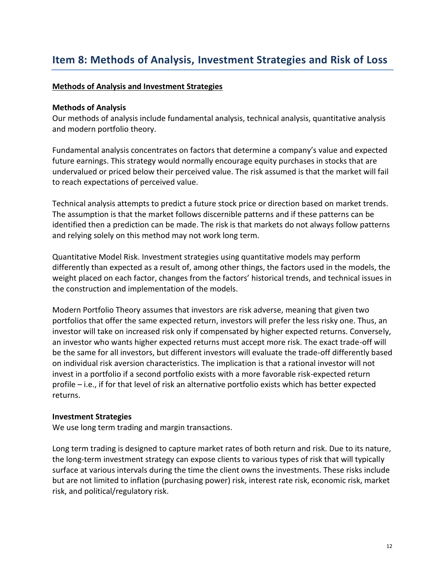### <span id="page-11-0"></span>**Methods of Analysis and Investment Strategies**

#### **Methods of Analysis**

Our methods of analysis include fundamental analysis, technical analysis, quantitative analysis and modern portfolio theory.

Fundamental analysis concentrates on factors that determine a company's value and expected future earnings. This strategy would normally encourage equity purchases in stocks that are undervalued or priced below their perceived value. The risk assumed is that the market will fail to reach expectations of perceived value.

Technical analysis attempts to predict a future stock price or direction based on market trends. The assumption is that the market follows discernible patterns and if these patterns can be identified then a prediction can be made. The risk is that markets do not always follow patterns and relying solely on this method may not work long term.

Quantitative Model Risk. Investment strategies using quantitative models may perform differently than expected as a result of, among other things, the factors used in the models, the weight placed on each factor, changes from the factors' historical trends, and technical issues in the construction and implementation of the models.

Modern Portfolio Theory assumes that investors are risk adverse, meaning that given two portfolios that offer the same expected return, investors will prefer the less risky one. Thus, an investor will take on increased risk only if compensated by higher expected returns. Conversely, an investor who wants higher expected returns must accept more risk. The exact trade-off will be the same for all investors, but different investors will evaluate the trade-off differently based on individual risk aversion characteristics. The implication is that a rational investor will not invest in a portfolio if a second portfolio exists with a more favorable risk-expected return profile – i.e., if for that level of risk an alternative portfolio exists which has better expected returns.

#### **Investment Strategies**

We use long term trading and margin transactions.

Long term trading is designed to capture market rates of both return and risk. Due to its nature, the long-term investment strategy can expose clients to various types of risk that will typically surface at various intervals during the time the client owns the investments. These risks include but are not limited to inflation (purchasing power) risk, interest rate risk, economic risk, market risk, and political/regulatory risk.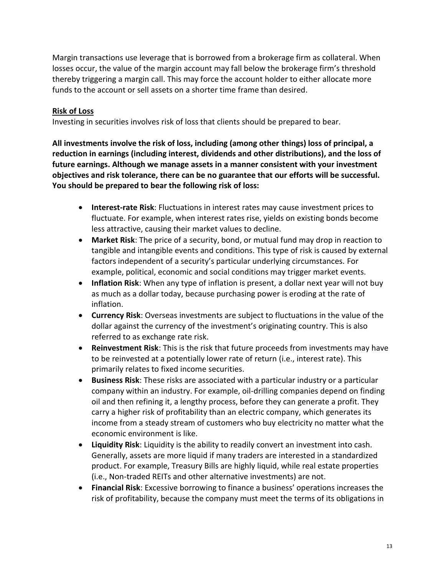Margin transactions use leverage that is borrowed from a brokerage firm as collateral. When losses occur, the value of the margin account may fall below the brokerage firm's threshold thereby triggering a margin call. This may force the account holder to either allocate more funds to the account or sell assets on a shorter time frame than desired.

### **Risk of Loss**

Investing in securities involves risk of loss that clients should be prepared to bear.

**All investments involve the risk of loss, including (among other things) loss of principal, a reduction in earnings (including interest, dividends and other distributions), and the loss of future earnings. Although we manage assets in a manner consistent with your investment objectives and risk tolerance, there can be no guarantee that our efforts will be successful. You should be prepared to bear the following risk of loss:**

- **Interest-rate Risk**: Fluctuations in interest rates may cause investment prices to fluctuate. For example, when interest rates rise, yields on existing bonds become less attractive, causing their market values to decline.
- **Market Risk**: The price of a security, bond, or mutual fund may drop in reaction to tangible and intangible events and conditions. This type of risk is caused by external factors independent of a security's particular underlying circumstances. For example, political, economic and social conditions may trigger market events.
- **Inflation Risk**: When any type of inflation is present, a dollar next year will not buy as much as a dollar today, because purchasing power is eroding at the rate of inflation.
- **Currency Risk**: Overseas investments are subject to fluctuations in the value of the dollar against the currency of the investment's originating country. This is also referred to as exchange rate risk.
- **Reinvestment Risk**: This is the risk that future proceeds from investments may have to be reinvested at a potentially lower rate of return (i.e., interest rate). This primarily relates to fixed income securities.
- **Business Risk**: These risks are associated with a particular industry or a particular company within an industry. For example, oil-drilling companies depend on finding oil and then refining it, a lengthy process, before they can generate a profit. They carry a higher risk of profitability than an electric company, which generates its income from a steady stream of customers who buy electricity no matter what the economic environment is like.
- **Liquidity Risk**: Liquidity is the ability to readily convert an investment into cash. Generally, assets are more liquid if many traders are interested in a standardized product. For example, Treasury Bills are highly liquid, while real estate properties (i.e., Non-traded REITs and other alternative investments) are not.
- **Financial Risk**: Excessive borrowing to finance a business' operations increases the risk of profitability, because the company must meet the terms of its obligations in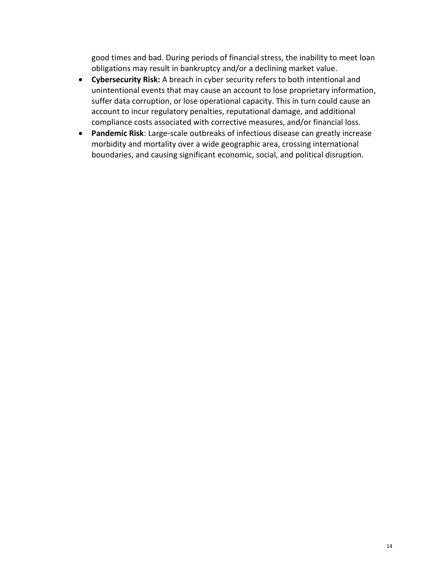good times and bad. During periods of financial stress, the inability to meet loan obligations may result in bankruptcy and/or a declining market value.

- **Cybersecurity Risk:** A breach in cyber security refers to both intentional and unintentional events that may cause an account to lose proprietary information, suffer data corruption, or lose operational capacity. This in turn could cause an account to incur regulatory penalties, reputational damage, and additional compliance costs associated with corrective measures, and/or financial loss.
- **Pandemic Risk**: Large-scale outbreaks of infectious disease can greatly increase morbidity and mortality over a wide geographic area, crossing international boundaries, and causing significant economic, social, and political disruption.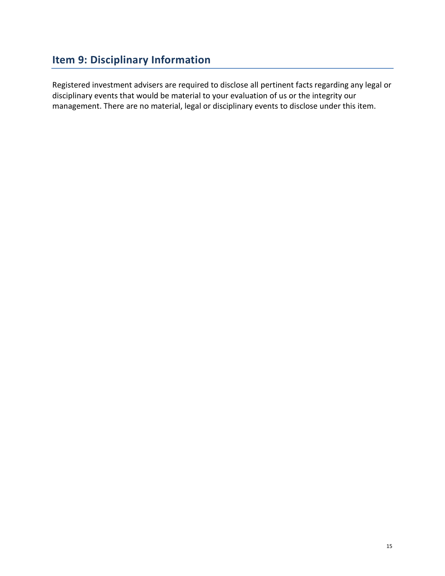## <span id="page-14-0"></span>**Item 9: Disciplinary Information**

Registered investment advisers are required to disclose all pertinent facts regarding any legal or disciplinary events that would be material to your evaluation of us or the integrity our management. There are no material, legal or disciplinary events to disclose under this item.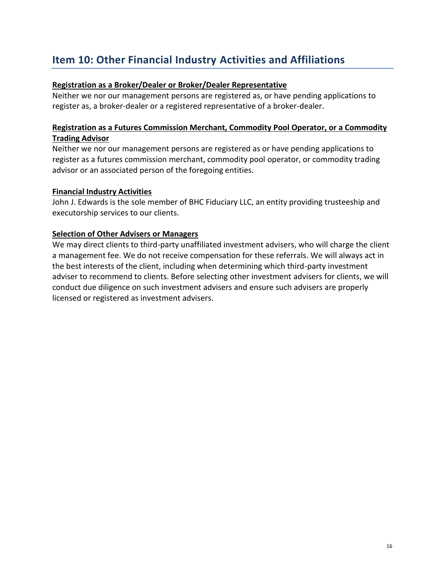## <span id="page-15-0"></span>**Item 10: Other Financial Industry Activities and Affiliations**

### **Registration as a Broker/Dealer or Broker/Dealer Representative**

Neither we nor our management persons are registered as, or have pending applications to register as, a broker-dealer or a registered representative of a broker-dealer.

### **Registration as a Futures Commission Merchant, Commodity Pool Operator, or a Commodity Trading Advisor**

Neither we nor our management persons are registered as or have pending applications to register as a futures commission merchant, commodity pool operator, or commodity trading advisor or an associated person of the foregoing entities.

#### **Financial Industry Activities**

John J. Edwards is the sole member of BHC Fiduciary LLC, an entity providing trusteeship and executorship services to our clients.

### **Selection of Other Advisers or Managers**

We may direct clients to third-party unaffiliated investment advisers, who will charge the client a management fee. We do not receive compensation for these referrals. We will always act in the best interests of the client, including when determining which third-party investment adviser to recommend to clients. Before selecting other investment advisers for clients, we will conduct due diligence on such investment advisers and ensure such advisers are properly licensed or registered as investment advisers.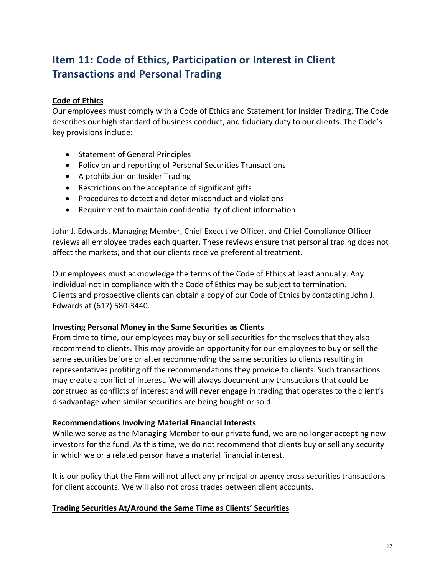## <span id="page-16-0"></span>**Item 11: Code of Ethics, Participation or Interest in Client Transactions and Personal Trading**

## **Code of Ethics**

Our employees must comply with a Code of Ethics and Statement for Insider Trading. The Code describes our high standard of business conduct, and fiduciary duty to our clients. The Code's key provisions include:

- Statement of General Principles
- Policy on and reporting of Personal Securities Transactions
- A prohibition on Insider Trading
- Restrictions on the acceptance of significant gifts
- Procedures to detect and deter misconduct and violations
- Requirement to maintain confidentiality of client information

John J. Edwards, Managing Member, Chief Executive Officer, and Chief Compliance Officer reviews all employee trades each quarter. These reviews ensure that personal trading does not affect the markets, and that our clients receive preferential treatment.

Our employees must acknowledge the terms of the Code of Ethics at least annually. Any individual not in compliance with the Code of Ethics may be subject to termination. Clients and prospective clients can obtain a copy of our Code of Ethics by contacting John J. Edwards at (617) 580-3440.

## **Investing Personal Money in the Same Securities as Clients**

From time to time, our employees may buy or sell securities for themselves that they also recommend to clients. This may provide an opportunity for our employees to buy or sell the same securities before or after recommending the same securities to clients resulting in representatives profiting off the recommendations they provide to clients. Such transactions may create a conflict of interest. We will always document any transactions that could be construed as conflicts of interest and will never engage in trading that operates to the client's disadvantage when similar securities are being bought or sold.

## **Recommendations Involving Material Financial Interests**

While we serve as the Managing Member to our private fund, we are no longer accepting new investors for the fund. As this time, we do not recommend that clients buy or sell any security in which we or a related person have a material financial interest.

It is our policy that the Firm will not affect any principal or agency cross securities transactions for client accounts. We will also not cross trades between client accounts.

## **Trading Securities At/Around the Same Time as Clients' Securities**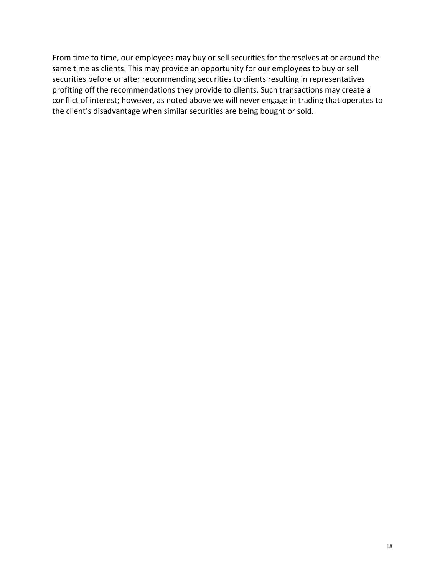From time to time, our employees may buy or sell securities for themselves at or around the same time as clients. This may provide an opportunity for our employees to buy or sell securities before or after recommending securities to clients resulting in representatives profiting off the recommendations they provide to clients. Such transactions may create a conflict of interest; however, as noted above we will never engage in trading that operates to the client's disadvantage when similar securities are being bought or sold.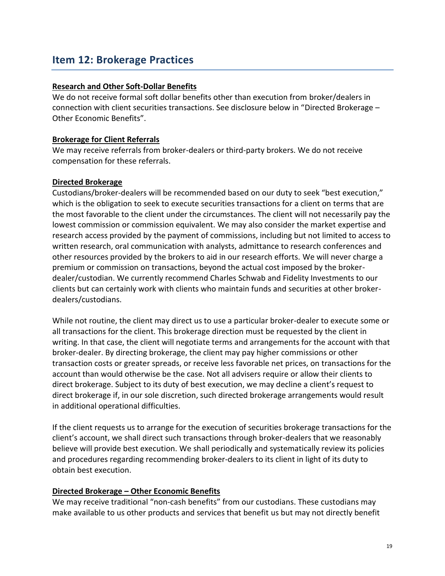## <span id="page-18-0"></span>**Item 12: Brokerage Practices**

#### **Research and Other Soft-Dollar Benefits**

We do not receive formal soft dollar benefits other than execution from broker/dealers in connection with client securities transactions. See disclosure below in "Directed Brokerage – Other Economic Benefits".

#### **Brokerage for Client Referrals**

We may receive referrals from broker-dealers or third-party brokers. We do not receive compensation for these referrals.

#### **Directed Brokerage**

Custodians/broker-dealers will be recommended based on our duty to seek "best execution," which is the obligation to seek to execute securities transactions for a client on terms that are the most favorable to the client under the circumstances. The client will not necessarily pay the lowest commission or commission equivalent. We may also consider the market expertise and research access provided by the payment of commissions, including but not limited to access to written research, oral communication with analysts, admittance to research conferences and other resources provided by the brokers to aid in our research efforts. We will never charge a premium or commission on transactions, beyond the actual cost imposed by the brokerdealer/custodian. We currently recommend Charles Schwab and Fidelity Investments to our clients but can certainly work with clients who maintain funds and securities at other brokerdealers/custodians.

While not routine, the client may direct us to use a particular broker-dealer to execute some or all transactions for the client. This brokerage direction must be requested by the client in writing. In that case, the client will negotiate terms and arrangements for the account with that broker-dealer. By directing brokerage, the client may pay higher commissions or other transaction costs or greater spreads, or receive less favorable net prices, on transactions for the account than would otherwise be the case. Not all advisers require or allow their clients to direct brokerage. Subject to its duty of best execution, we may decline a client's request to direct brokerage if, in our sole discretion, such directed brokerage arrangements would result in additional operational difficulties.

If the client requests us to arrange for the execution of securities brokerage transactions for the client's account, we shall direct such transactions through broker-dealers that we reasonably believe will provide best execution. We shall periodically and systematically review its policies and procedures regarding recommending broker-dealers to its client in light of its duty to obtain best execution.

#### **Directed Brokerage – Other Economic Benefits**

We may receive traditional "non-cash benefits" from our custodians. These custodians may make available to us other products and services that benefit us but may not directly benefit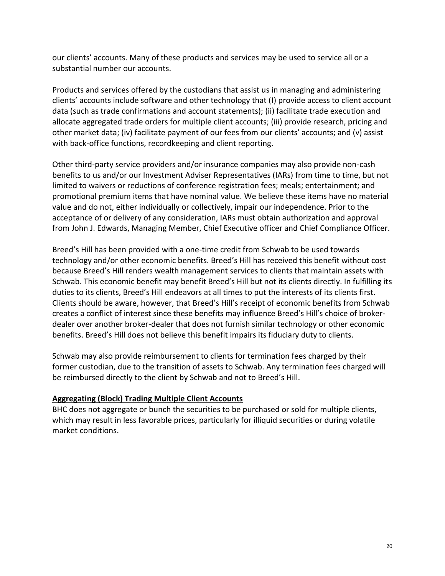our clients' accounts. Many of these products and services may be used to service all or a substantial number our accounts.

Products and services offered by the custodians that assist us in managing and administering clients' accounts include software and other technology that (I) provide access to client account data (such as trade confirmations and account statements); (ii) facilitate trade execution and allocate aggregated trade orders for multiple client accounts; (iii) provide research, pricing and other market data; (iv) facilitate payment of our fees from our clients' accounts; and (v) assist with back-office functions, recordkeeping and client reporting.

Other third-party service providers and/or insurance companies may also provide non-cash benefits to us and/or our Investment Adviser Representatives (IARs) from time to time, but not limited to waivers or reductions of conference registration fees; meals; entertainment; and promotional premium items that have nominal value. We believe these items have no material value and do not, either individually or collectively, impair our independence. Prior to the acceptance of or delivery of any consideration, IARs must obtain authorization and approval from John J. Edwards, Managing Member, Chief Executive officer and Chief Compliance Officer.

Breed's Hill has been provided with a one-time credit from Schwab to be used towards technology and/or other economic benefits. Breed's Hill has received this benefit without cost because Breed's Hill renders wealth management services to clients that maintain assets with Schwab. This economic benefit may benefit Breed's Hill but not its clients directly. In fulfilling its duties to its clients, Breed's Hill endeavors at all times to put the interests of its clients first. Clients should be aware, however, that Breed's Hill's receipt of economic benefits from Schwab creates a conflict of interest since these benefits may influence Breed's Hill's choice of brokerdealer over another broker-dealer that does not furnish similar technology or other economic benefits. Breed's Hill does not believe this benefit impairs its fiduciary duty to clients.

Schwab may also provide reimbursement to clients for termination fees charged by their former custodian, due to the transition of assets to Schwab. Any termination fees charged will be reimbursed directly to the client by Schwab and not to Breed's Hill.

## **Aggregating (Block) Trading Multiple Client Accounts**

BHC does not aggregate or bunch the securities to be purchased or sold for multiple clients, which may result in less favorable prices, particularly for illiquid securities or during volatile market conditions.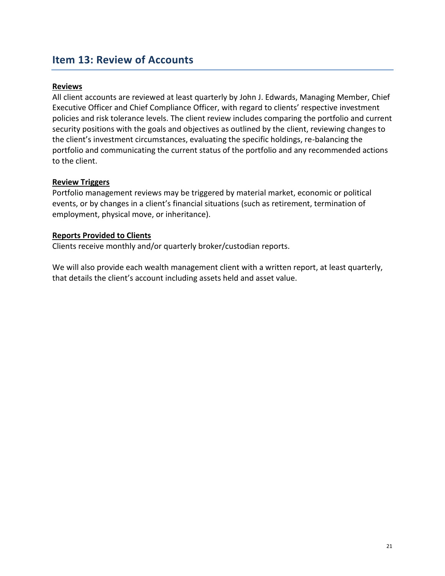## <span id="page-20-0"></span>**Item 13: Review of Accounts**

#### **Reviews**

All client accounts are reviewed at least quarterly by John J. Edwards, Managing Member, Chief Executive Officer and Chief Compliance Officer, with regard to clients' respective investment policies and risk tolerance levels. The client review includes comparing the portfolio and current security positions with the goals and objectives as outlined by the client, reviewing changes to the client's investment circumstances, evaluating the specific holdings, re-balancing the portfolio and communicating the current status of the portfolio and any recommended actions to the client.

#### **Review Triggers**

Portfolio management reviews may be triggered by material market, economic or political events, or by changes in a client's financial situations (such as retirement, termination of employment, physical move, or inheritance).

#### **Reports Provided to Clients**

Clients receive monthly and/or quarterly broker/custodian reports.

We will also provide each wealth management client with a written report, at least quarterly, that details the client's account including assets held and asset value.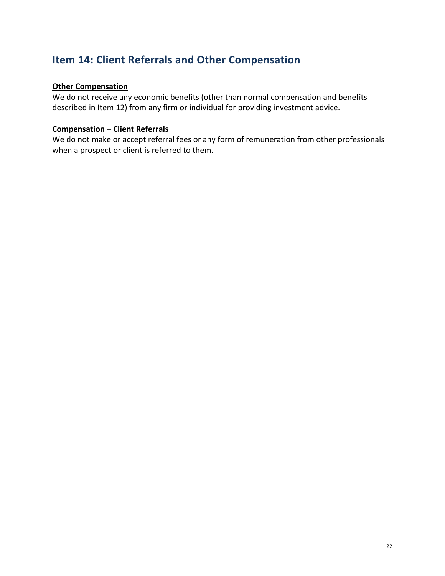## <span id="page-21-0"></span>**Item 14: Client Referrals and Other Compensation**

## **Other Compensation**

We do not receive any economic benefits (other than normal compensation and benefits described in Item 12) from any firm or individual for providing investment advice.

#### **Compensation – Client Referrals**

We do not make or accept referral fees or any form of remuneration from other professionals when a prospect or client is referred to them.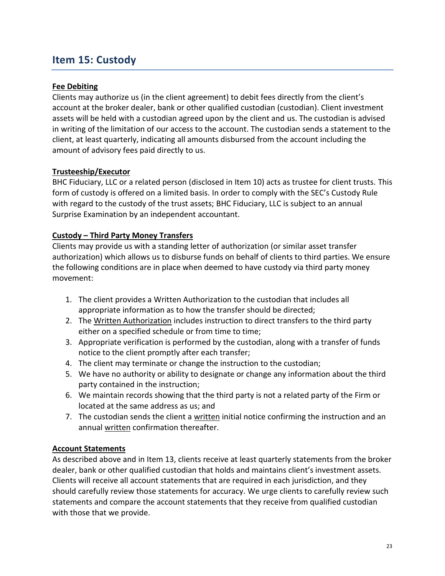## <span id="page-22-0"></span>**Item 15: Custody**

## **Fee Debiting**

Clients may authorize us (in the client agreement) to debit fees directly from the client's account at the broker dealer, bank or other qualified custodian (custodian). Client investment assets will be held with a custodian agreed upon by the client and us. The custodian is advised in writing of the limitation of our access to the account. The custodian sends a statement to the client, at least quarterly, indicating all amounts disbursed from the account including the amount of advisory fees paid directly to us.

## **Trusteeship/Executor**

BHC Fiduciary, LLC or a related person (disclosed in Item 10) acts as trustee for client trusts. This form of custody is offered on a limited basis. In order to comply with the SEC's Custody Rule with regard to the custody of the trust assets; BHC Fiduciary, LLC is subject to an annual Surprise Examination by an independent accountant.

## **Custody – Third Party Money Transfers**

Clients may provide us with a standing letter of authorization (or similar asset transfer authorization) which allows us to disburse funds on behalf of clients to third parties. We ensure the following conditions are in place when deemed to have custody via third party money movement:

- 1. The client provides a Written Authorization to the custodian that includes all appropriate information as to how the transfer should be directed;
- 2. The Written Authorization includes instruction to direct transfers to the third party either on a specified schedule or from time to time;
- 3. Appropriate verification is performed by the custodian, along with a transfer of funds notice to the client promptly after each transfer;
- 4. The client may terminate or change the instruction to the custodian;
- 5. We have no authority or ability to designate or change any information about the third party contained in the instruction;
- 6. We maintain records showing that the third party is not a related party of the Firm or located at the same address as us; and
- 7. The custodian sends the client a written initial notice confirming the instruction and an annual written confirmation thereafter.

## **Account Statements**

As described above and in Item 13, clients receive at least quarterly statements from the broker dealer, bank or other qualified custodian that holds and maintains client's investment assets. Clients will receive all account statements that are required in each jurisdiction, and they should carefully review those statements for accuracy. We urge clients to carefully review such statements and compare the account statements that they receive from qualified custodian with those that we provide.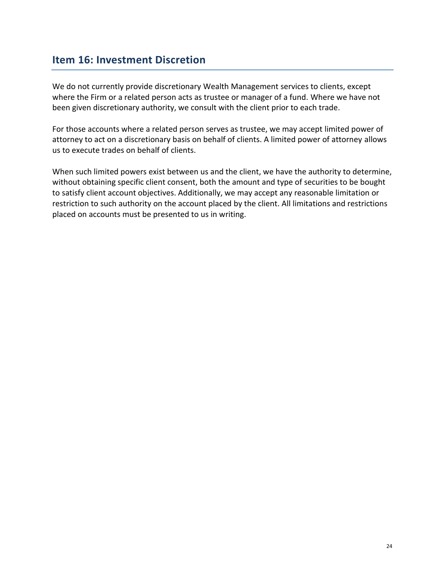## <span id="page-23-0"></span>**Item 16: Investment Discretion**

We do not currently provide discretionary Wealth Management services to clients, except where the Firm or a related person acts as trustee or manager of a fund. Where we have not been given discretionary authority, we consult with the client prior to each trade.

For those accounts where a related person serves as trustee, we may accept limited power of attorney to act on a discretionary basis on behalf of clients. A limited power of attorney allows us to execute trades on behalf of clients.

When such limited powers exist between us and the client, we have the authority to determine, without obtaining specific client consent, both the amount and type of securities to be bought to satisfy client account objectives. Additionally, we may accept any reasonable limitation or restriction to such authority on the account placed by the client. All limitations and restrictions placed on accounts must be presented to us in writing.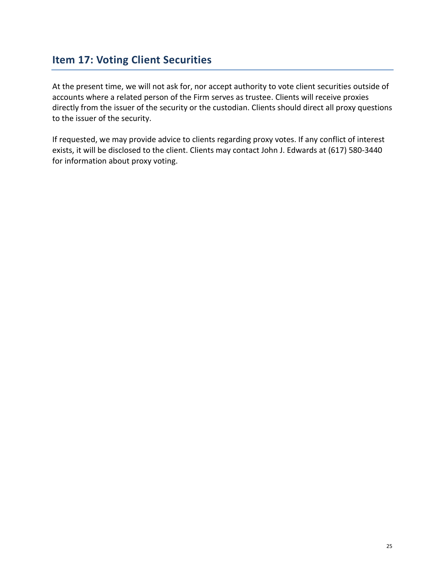## <span id="page-24-0"></span>**Item 17: Voting Client Securities**

At the present time, we will not ask for, nor accept authority to vote client securities outside of accounts where a related person of the Firm serves as trustee. Clients will receive proxies directly from the issuer of the security or the custodian. Clients should direct all proxy questions to the issuer of the security.

If requested, we may provide advice to clients regarding proxy votes. If any conflict of interest exists, it will be disclosed to the client. Clients may contact John J. Edwards at (617) 580-3440 for information about proxy voting.